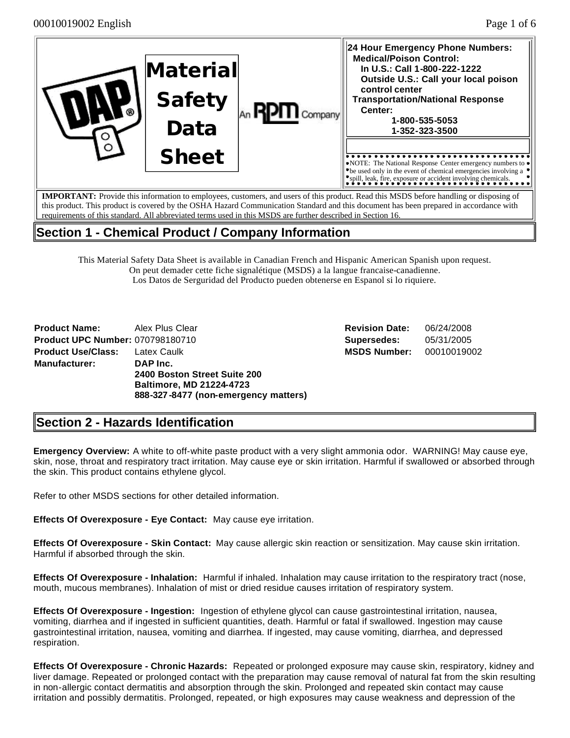| ඹ | Material<br><b>Safety</b><br>Data | Company | 24 Hour Emergency Phone Numbers:<br><b>Medical/Poison Control:</b><br>In U.S.: Call 1-800-222-1222<br>Outside U.S.: Call your local poison<br>control center<br><b>Transportation/National Response</b><br>Center:<br>1-800-535-5053<br>1-352-323-3500 |
|---|-----------------------------------|---------|--------------------------------------------------------------------------------------------------------------------------------------------------------------------------------------------------------------------------------------------------------|
|   | <b>Sheet</b>                      |         | $\triangleright$ NOTE: The National Response Center emergency numbers to $\triangleright$<br>$\bullet$ be used only in the event of chemical emergencies involving a $\bullet$<br>spill, leak, fire, exposure or accident involving chemicals.         |
|   |                                   |         | <b>IMPORTANT:</b> Provide this information to employees, customers, and users of this product. Read this MSDS before handling or disposing of                                                                                                          |

**IMPORTANT:** Provide this information to employees, customers, and users of this product. Read this MSDS before handling or disposing of this product. This product is covered by the OSHA Hazard Communication Standard and this document has been prepared in accordance with requirements of this standard. All abbreviated terms used in this MSDS are further described in Section 16.

# **Section 1 - Chemical Product / Company Information**

This Material Safety Data Sheet is available in Canadian French and Hispanic American Spanish upon request. On peut demader cette fiche signalétique (MSDS) a la langue francaise-canadienne. Los Datos de Serguridad del Producto pueden obtenerse en Espanol si lo riquiere.

| <b>Product Name:</b> Alex Plus Clear    |                                      |
|-----------------------------------------|--------------------------------------|
| <b>Product UPC Number: 070798180710</b> |                                      |
| <b>Product Use/Class: Latex Caulk</b>   |                                      |
| Manufacturer:                           | DAP Inc.                             |
|                                         | 2400 Boston Street Suite 200         |
|                                         | <b>Baltimore, MD 21224-4723</b>      |
|                                         | 888-327-8477 (non-emergency matters) |

**Revision Date:** 06/24/2008 **Supersedes:** 05/31/2005 **MSDS Number:** 00010019002

# **Section 2 - Hazards Identification**

**Emergency Overview:** A white to off-white paste product with a very slight ammonia odor. WARNING! May cause eye, skin, nose, throat and respiratory tract irritation. May cause eye or skin irritation. Harmful if swallowed or absorbed through the skin. This product contains ethylene glycol.

Refer to other MSDS sections for other detailed information.

**Effects Of Overexposure - Eye Contact:** May cause eye irritation.

**Effects Of Overexposure - Skin Contact:** May cause allergic skin reaction or sensitization. May cause skin irritation. Harmful if absorbed through the skin.

**Effects Of Overexposure - Inhalation:** Harmful if inhaled. Inhalation may cause irritation to the respiratory tract (nose, mouth, mucous membranes). Inhalation of mist or dried residue causes irritation of respiratory system.

**Effects Of Overexposure - Ingestion:** Ingestion of ethylene glycol can cause gastrointestinal irritation, nausea, vomiting, diarrhea and if ingested in sufficient quantities, death. Harmful or fatal if swallowed. Ingestion may cause gastrointestinal irritation, nausea, vomiting and diarrhea. If ingested, may cause vomiting, diarrhea, and depressed respiration.

**Effects Of Overexposure - Chronic Hazards:** Repeated or prolonged exposure may cause skin, respiratory, kidney and liver damage. Repeated or prolonged contact with the preparation may cause removal of natural fat from the skin resulting in non-allergic contact dermatitis and absorption through the skin. Prolonged and repeated skin contact may cause irritation and possibly dermatitis. Prolonged, repeated, or high exposures may cause weakness and depression of the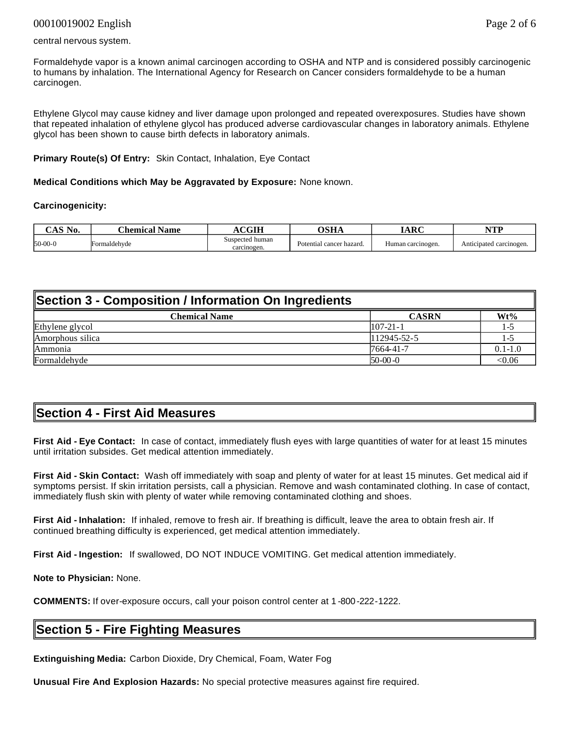#### 00010019002 English Page 2 of 6

#### central nervous system.

Formaldehyde vapor is a known animal carcinogen according to OSHA and NTP and is considered possibly carcinogenic to humans by inhalation. The International Agency for Research on Cancer considers formaldehyde to be a human carcinogen.

Ethylene Glycol may cause kidney and liver damage upon prolonged and repeated overexposures. Studies have shown that repeated inhalation of ethylene glycol has produced adverse cardiovascular changes in laboratory animals. Ethylene glycol has been shown to cause birth defects in laboratory animals.

#### **Primary Route(s) Of Entry:** Skin Contact, Inhalation, Eye Contact

**Medical Conditions which May be Aggravated by Exposure:** None known.

#### **Carcinogenicity:**

| $\alpha$ is $\alpha$<br>NO.<br>ப | Chemical.<br>Name | <b>CGIH</b>                    | лсн<br>јэна              | TADC<br>IANU      | NTD<br>,,,,             |
|----------------------------------|-------------------|--------------------------------|--------------------------|-------------------|-------------------------|
| $50-00-0$                        | Formaldehvde      | Suspected human<br>carcinogen. | Potential cancer hazard. | Human carcinogen. | Anticipated carcinogen. |

#### **Section 3 - Composition / Information On Ingredients**

| <b>Chemical Name</b> | <b>CASRN</b>   | Wt%                      |
|----------------------|----------------|--------------------------|
| Ethylene glycol      | $107 - 21 - 1$ | $\overline{\phantom{0}}$ |
| Amorphous silica     | 112945-52-5    | $\overline{\phantom{0}}$ |
| Ammonia              | 7664-41-7      | $0.1 - 1.0$              |
| Formaldehyde         | $50-00-0$      | <0.06                    |

### **Section 4 - First Aid Measures**

**First Aid - Eye Contact:** In case of contact, immediately flush eyes with large quantities of water for at least 15 minutes until irritation subsides. Get medical attention immediately.

**First Aid - Skin Contact:** Wash off immediately with soap and plenty of water for at least 15 minutes. Get medical aid if symptoms persist. If skin irritation persists, call a physician. Remove and wash contaminated clothing. In case of contact, immediately flush skin with plenty of water while removing contaminated clothing and shoes.

**First Aid - Inhalation:** If inhaled, remove to fresh air. If breathing is difficult, leave the area to obtain fresh air. If continued breathing difficulty is experienced, get medical attention immediately.

**First Aid - Ingestion:** If swallowed, DO NOT INDUCE VOMITING. Get medical attention immediately.

**Note to Physician:** None.

**COMMENTS:** If over-exposure occurs, call your poison control center at 1 -800-222-1222.

### **Section 5 - Fire Fighting Measures**

**Extinguishing Media:** Carbon Dioxide, Dry Chemical, Foam, Water Fog

**Unusual Fire And Explosion Hazards:** No special protective measures against fire required.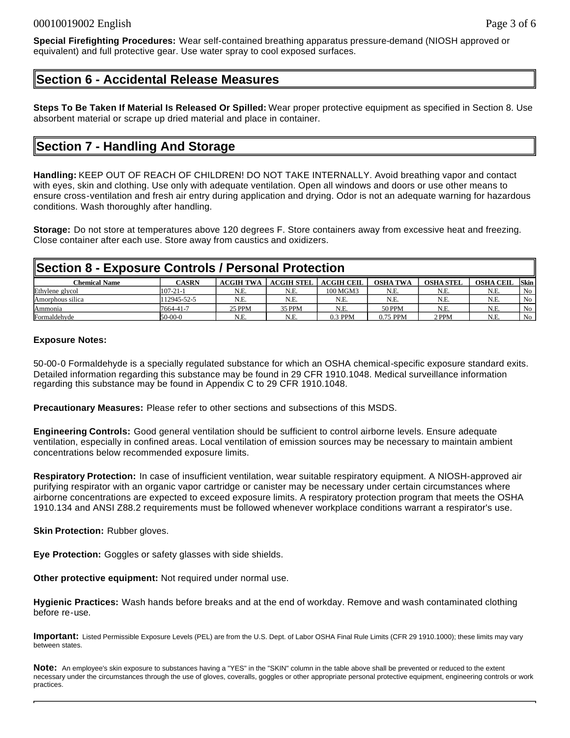**Special Firefighting Procedures:** Wear self-contained breathing apparatus pressure-demand (NIOSH approved or equivalent) and full protective gear. Use water spray to cool exposed surfaces.

### **Section 6 - Accidental Release Measures**

**Steps To Be Taken If Material Is Released Or Spilled:** Wear proper protective equipment as specified in Section 8. Use absorbent material or scrape up dried material and place in container.

### **Section 7 - Handling And Storage**

**Handling:** KEEP OUT OF REACH OF CHILDREN! DO NOT TAKE INTERNALLY. Avoid breathing vapor and contact with eyes, skin and clothing. Use only with adequate ventilation. Open all windows and doors or use other means to ensure cross-ventilation and fresh air entry during application and drying. Odor is not an adequate warning for hazardous conditions. Wash thoroughly after handling.

**Storage:** Do not store at temperatures above 120 degrees F. Store containers away from excessive heat and freezing. Close container after each use. Store away from caustics and oxidizers.

#### **Section 8 - Exposure Controls / Personal Protection**

| Chemical Name    | CASRN          | <b>ACGIH TWA</b> | <b>ACGIH STEL</b> | <b>ACGIH CEIL</b> | <b>OSHA TWA</b> | <b>OSHA STEL</b> | <b>OSHA CEIL</b> | <b>Skin</b> |
|------------------|----------------|------------------|-------------------|-------------------|-----------------|------------------|------------------|-------------|
| Ethylene glycol  | $107 - 21 - 1$ | N.E.             | N.E               | 100 MGM3          | N.E.            | N.E.             | N.E              | No          |
| Amorphous silica | 112945-52-5    | N.E.             | N.E               | N.E.              | N.E.            | N.E.             | N.E              | No          |
| Ammonia          | 7664-41-7      | <b>25 PPM</b>    | 35 PPM            | N.E.              | <b>50 PPM</b>   | N.E              | N.E              | No          |
| Formaldehyde     | $50-00-0$      | N.E              | N.E               | $0.3$ PPM         | 0.75 PPM        | 2 PPM            | N.E              | No          |

#### **Exposure Notes:**

50-00-0 Formaldehyde is a specially regulated substance for which an OSHA chemical-specific exposure standard exits. Detailed information regarding this substance may be found in 29 CFR 1910.1048. Medical surveillance information regarding this substance may be found in Appendix C to 29 CFR 1910.1048.

**Precautionary Measures:** Please refer to other sections and subsections of this MSDS.

**Engineering Controls:** Good general ventilation should be sufficient to control airborne levels. Ensure adequate ventilation, especially in confined areas. Local ventilation of emission sources may be necessary to maintain ambient concentrations below recommended exposure limits.

**Respiratory Protection:** In case of insufficient ventilation, wear suitable respiratory equipment. A NIOSH-approved air purifying respirator with an organic vapor cartridge or canister may be necessary under certain circumstances where airborne concentrations are expected to exceed exposure limits. A respiratory protection program that meets the OSHA 1910.134 and ANSI Z88.2 requirements must be followed whenever workplace conditions warrant a respirator's use.

**Skin Protection: Rubber gloves.** 

**Eye Protection:** Goggles or safety glasses with side shields.

**Other protective equipment:** Not required under normal use.

**Hygienic Practices:** Wash hands before breaks and at the end of workday. Remove and wash contaminated clothing before re-use.

**Important:** Listed Permissible Exposure Levels (PEL) are from the U.S. Dept. of Labor OSHA Final Rule Limits (CFR 29 1910.1000); these limits may vary between states.

**Note:** An employee's skin exposure to substances having a "YES" in the "SKIN" column in the table above shall be prevented or reduced to the extent necessary under the circumstances through the use of gloves, coveralls, goggles or other appropriate personal protective equipment, engineering controls or work practices.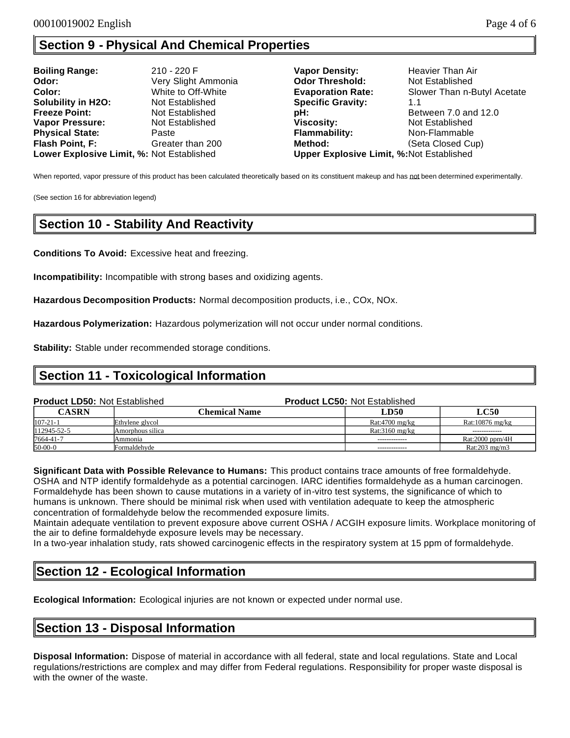# **Section 9 - Physical And Chemical Properties**

| <b>Boiling Range:</b>                     | 210 - 220 F         | <b>Vapor Density:</b>                           | Heavier Than Air            |
|-------------------------------------------|---------------------|-------------------------------------------------|-----------------------------|
| Odor:                                     | Very Slight Ammonia | <b>Odor Threshold:</b>                          | Not Established             |
| Color:                                    | White to Off-White  | <b>Evaporation Rate:</b>                        | Slower Than n-Butyl Acetate |
| <b>Solubility in H2O:</b>                 | Not Established     | <b>Specific Gravity:</b>                        | 1.1                         |
| <b>Freeze Point:</b>                      | Not Established     | pH:                                             | Between 7.0 and 12.0        |
| <b>Vapor Pressure:</b>                    | Not Established     | Viscosity:                                      | Not Established             |
| <b>Physical State:</b>                    | Paste               | <b>Flammability:</b>                            | Non-Flammable               |
| Flash Point, F:                           | Greater than 200    | Method:                                         | (Seta Closed Cup)           |
| Lower Explosive Limit, %: Not Established |                     | <b>Upper Explosive Limit, %:Not Established</b> |                             |

When reported, vapor pressure of this product has been calculated theoretically based on its constituent makeup and has not been determined experimentally.

(See section 16 for abbreviation legend)

# **Section 10 - Stability And Reactivity**

**Conditions To Avoid:** Excessive heat and freezing.

**Incompatibility:** Incompatible with strong bases and oxidizing agents.

**Hazardous Decomposition Products:** Normal decomposition products, i.e., COx, NOx.

**Hazardous Polymerization:** Hazardous polymerization will not occur under normal conditions.

**Stability:** Stable under recommended storage conditions.

### **Section 11 - Toxicological Information**

| <b>Product LD50: Not Established</b> |                      | <b>Product LC50: Not Established</b> |                           |  |  |
|--------------------------------------|----------------------|--------------------------------------|---------------------------|--|--|
| <b>CASRN</b>                         | <b>Chemical Name</b> | LD50                                 | <b>LC50</b>               |  |  |
| $107 - 21 - 1$                       | Ethylene glycol      | Rat:4700 mg/kg                       | Rat:10876 mg/kg           |  |  |
| 112945-52-5                          | Amorphous silica     | $Rat:3160$ mg/ $kg$                  | -------------             |  |  |
| 7664-41-7                            | Ammonia              | -------------                        | Rat:2000 ppm/4H           |  |  |
| $50-00-0$                            | Formaldehvde         |                                      | Rat: $203 \text{ mg/m}$ 3 |  |  |

**Significant Data with Possible Relevance to Humans:** This product contains trace amounts of free formaldehyde. OSHA and NTP identify formaldehyde as a potential carcinogen. IARC identifies formaldehyde as a human carcinogen. Formaldehyde has been shown to cause mutations in a variety of in-vitro test systems, the significance of which to humans is unknown. There should be minimal risk when used with ventilation adequate to keep the atmospheric concentration of formaldehyde below the recommended exposure limits.

Maintain adequate ventilation to prevent exposure above current OSHA / ACGIH exposure limits. Workplace monitoring of the air to define formaldehyde exposure levels may be necessary.

In a two-year inhalation study, rats showed carcinogenic effects in the respiratory system at 15 ppm of formaldehyde.

### **Section 12 - Ecological Information**

**Ecological Information:** Ecological injuries are not known or expected under normal use.

### **Section 13 - Disposal Information**

**Disposal Information:** Dispose of material in accordance with all federal, state and local regulations. State and Local regulations/restrictions are complex and may differ from Federal regulations. Responsibility for proper waste disposal is with the owner of the waste.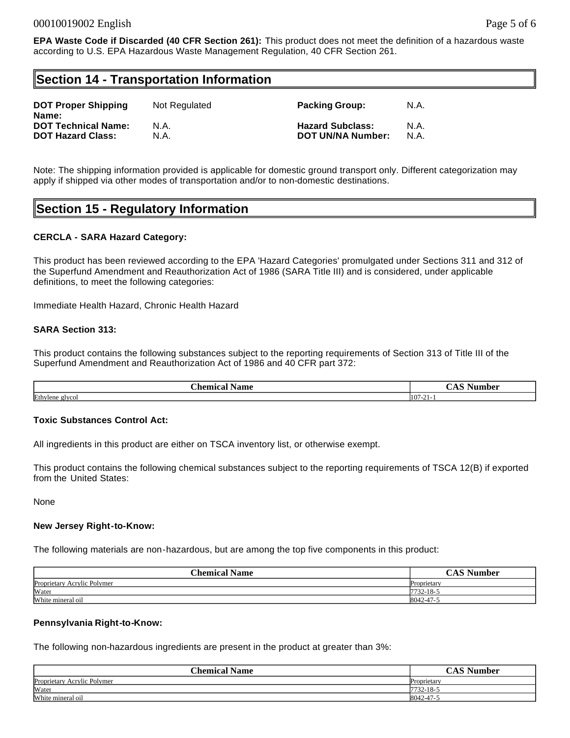### **Section 14 - Transportation Information**

| <b>DOT Proper Shipping</b><br>Name: | Not Regulated | <b>Packing Group:</b>    | N.A. |
|-------------------------------------|---------------|--------------------------|------|
| <b>DOT Technical Name:</b>          | N.A.          | <b>Hazard Subclass:</b>  | N.A. |
| <b>DOT Hazard Class:</b>            | N.A.          | <b>DOT UN/NA Number:</b> | N.A. |

Note: The shipping information provided is applicable for domestic ground transport only. Different categorization may apply if shipped via other modes of transportation and/or to non-domestic destinations.

### **Section 15 - Regulatory Information**

#### **CERCLA - SARA Hazard Category:**

This product has been reviewed according to the EPA 'Hazard Categories' promulgated under Sections 311 and 312 of the Superfund Amendment and Reauthorization Act of 1986 (SARA Title III) and is considered, under applicable definitions, to meet the following categories:

Immediate Health Hazard, Chronic Health Hazard

#### **SARA Section 313:**

This product contains the following substances subject to the reporting requirements of Section 313 of Title III of the Superfund Amendment and Reauthorization Act of 1986 and 40 CFR part 372:

| --<br>$\sim$<br>'hommo<br>Name<br>.<br>. al | -<br>ahar<br>''''''. |
|---------------------------------------------|----------------------|
| Ethylene                                    | $107 - 2$            |
| glycol                                      | . .                  |

#### **Toxic Substances Control Act:**

All ingredients in this product are either on TSCA inventory list, or otherwise exempt.

This product contains the following chemical substances subject to the reporting requirements of TSCA 12(B) if exported from the United States:

None

#### **New Jersey Right-to-Know:**

The following materials are non-hazardous, but are among the top five components in this product:

| <b>Chemical Name</b>        | Number<br>д        |
|-----------------------------|--------------------|
| Proprietary Acrylic Polymer | <b>Proprietary</b> |
| Water                       | 7732-18-5          |
| White mineral oil           | 8042-47-5          |

#### **Pennsylvania Right-to-Know:**

The following non-hazardous ingredients are present in the product at greater than 3%:

| <b>Chemical Name</b>        | $C$ $\Lambda$ $C$ $\Lambda$ <sup>T</sup> ---<br>Number<br>P |
|-----------------------------|-------------------------------------------------------------|
| Proprietary Acrylic Polymer | Proprietary                                                 |
| Water                       | $7732 - 18 - 1$                                             |
| White mineral oil           | 8042-47-                                                    |